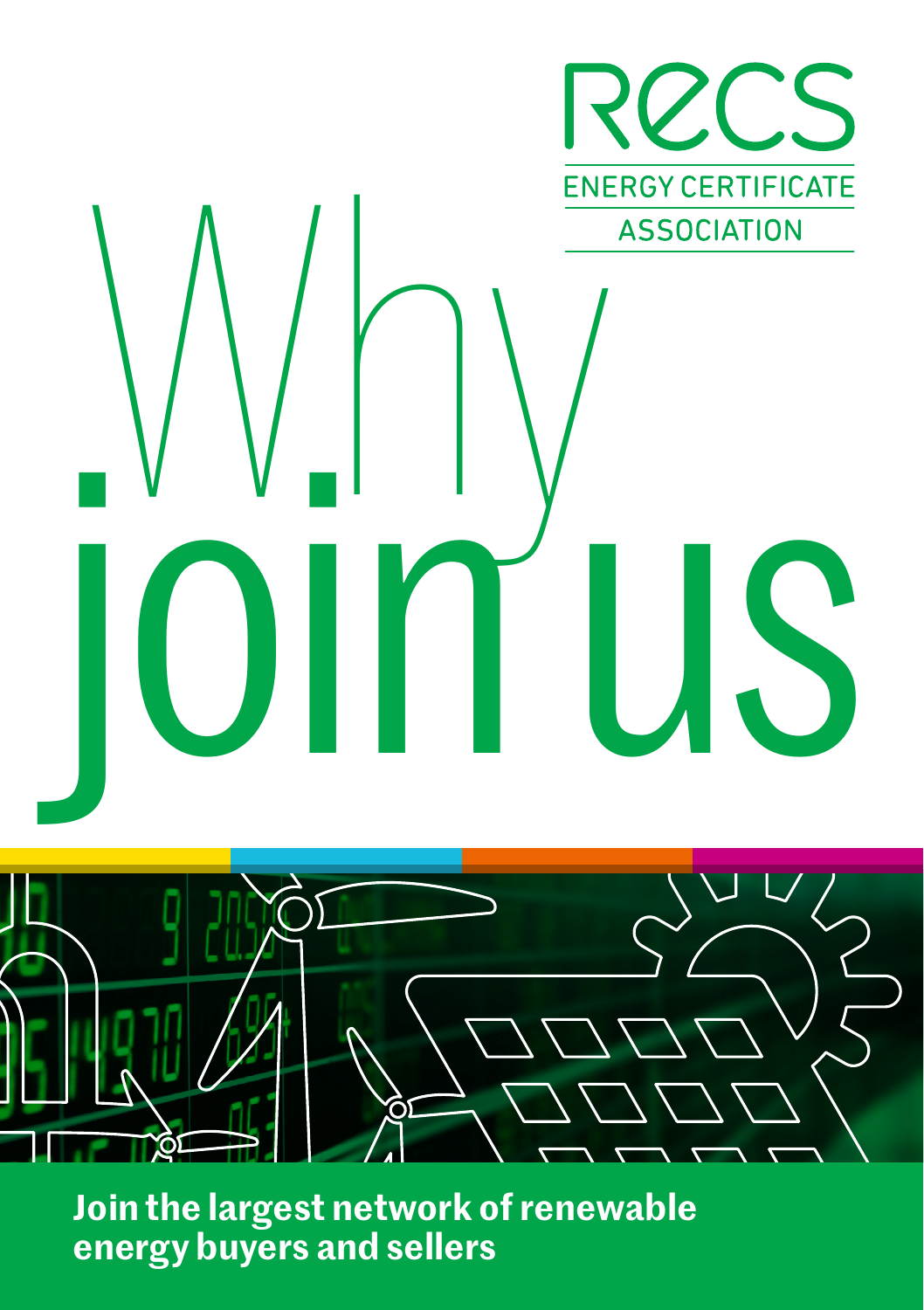

**Join the largest network of renewable energy buyers and sellers**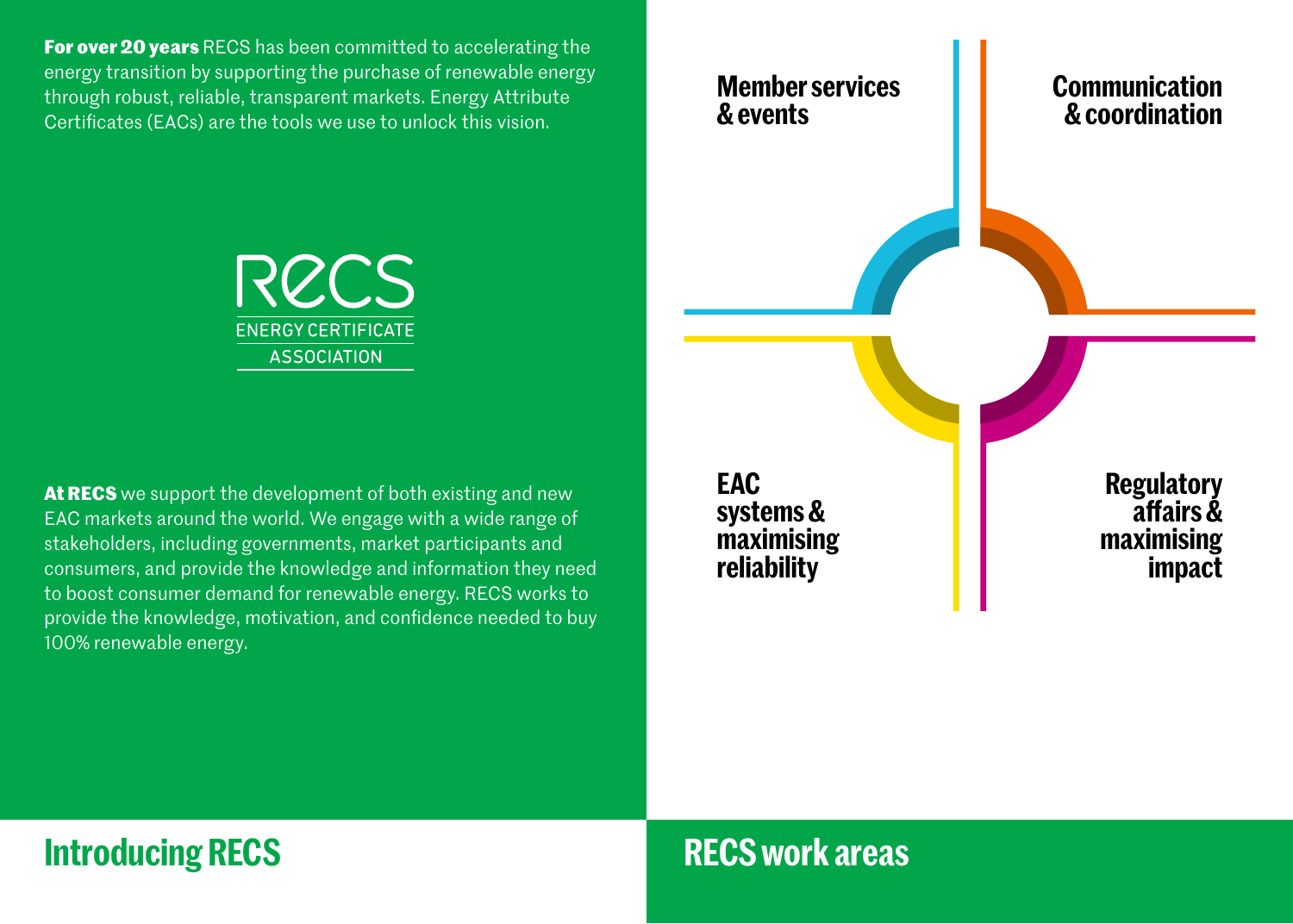**For over 20 years** RECS has been committed to accelerating the energy transition by supporting the purchase of renewable energy through robust, reliable, transparent markets. Energy Attribute Certificates (EACs) are the tools we use to unlock this vision.



**At RECS** we support the development of both existing and new EAC markets around the world. We engage with a wide range of stakeholders, including governments, market participants and consumers, and provide the knowledge and information they need to boost consumer demand for renewable energy. RECS works to provide the knowledge, motivation, and confidence needed to buy 100% renewable energy.

**EAC systems & maximising reliability**

**Member services**

**& events**

**Regulatory affairs & maximising impact**

**Communication & coordination**

## **Introducing RECS**

### **RECS work areas**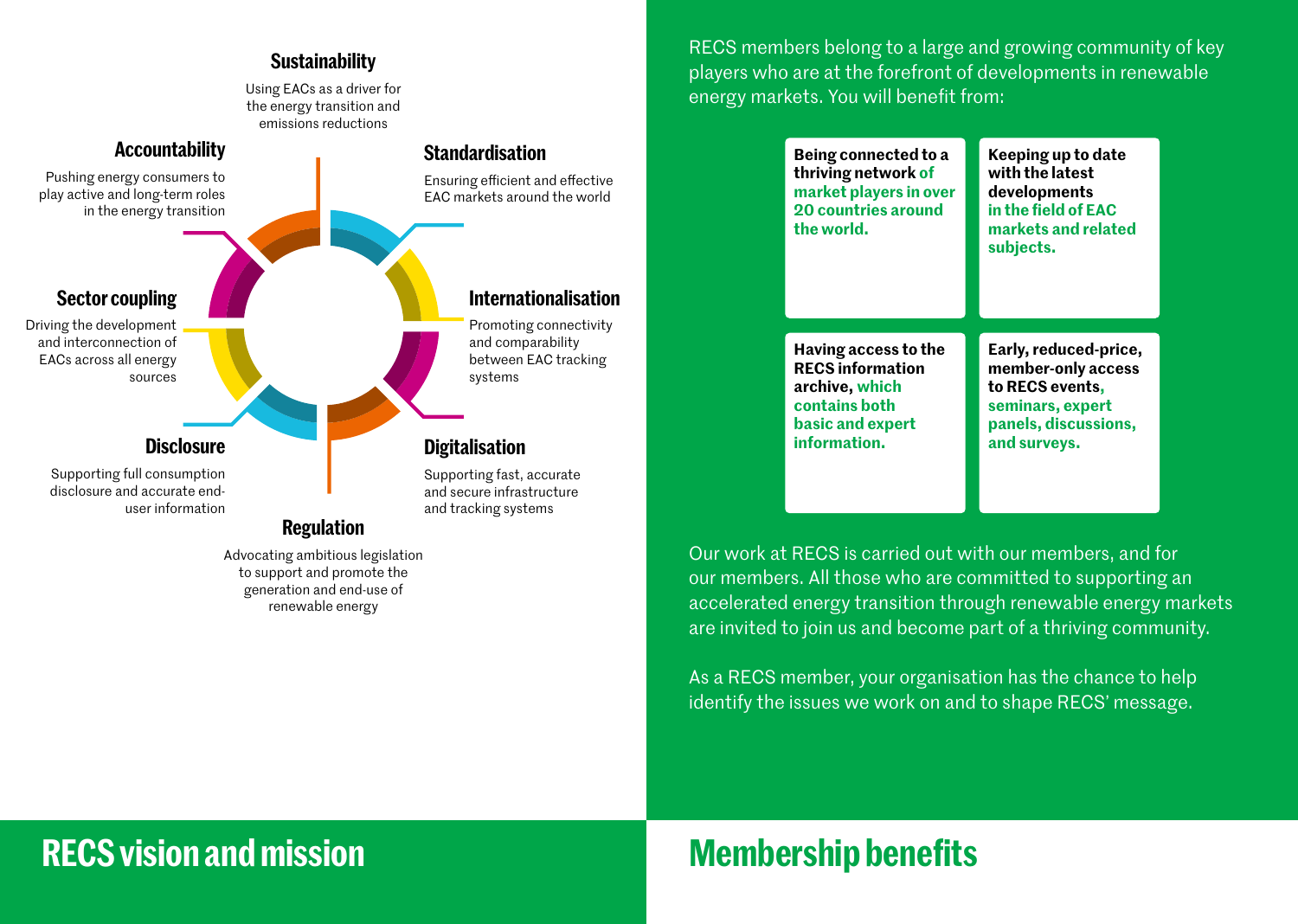#### **Sustainability**

Using EACs as a driver for the energy transition and emissions reductions



renewable energy

EAC markets around the world

RECS members belong to a large and growing community of key players who are at the forefront of developments in renewable energy markets. You will benefit from:

| Being connected to a<br>thriving network of<br>market players in over<br><b>20 countries around</b><br>the world. | Keeping up to date<br>with the latest<br>developments<br>in the field of EAC<br>markets and related<br>subjects. |
|-------------------------------------------------------------------------------------------------------------------|------------------------------------------------------------------------------------------------------------------|
| Having access to the                                                                                              | Early, reduced-price,                                                                                            |
| <b>RECS information</b>                                                                                           | member-only access                                                                                               |
| archive, which                                                                                                    | to RECS events,                                                                                                  |
| contains both                                                                                                     | seminars, expert                                                                                                 |
| basic and expert                                                                                                  | panels, discussions,                                                                                             |
| information.                                                                                                      | and surveys.                                                                                                     |

Our work at RECS is carried out with our members, and for our members. All those who are committed to supporting an accelerated energy transition through renewable energy markets are invited to join us and become part of a thriving community.

As a RECS member, your organisation has the chance to help identify the issues we work on and to shape RECS' message.

### **RECS vision and mission**

# **Membership benefits**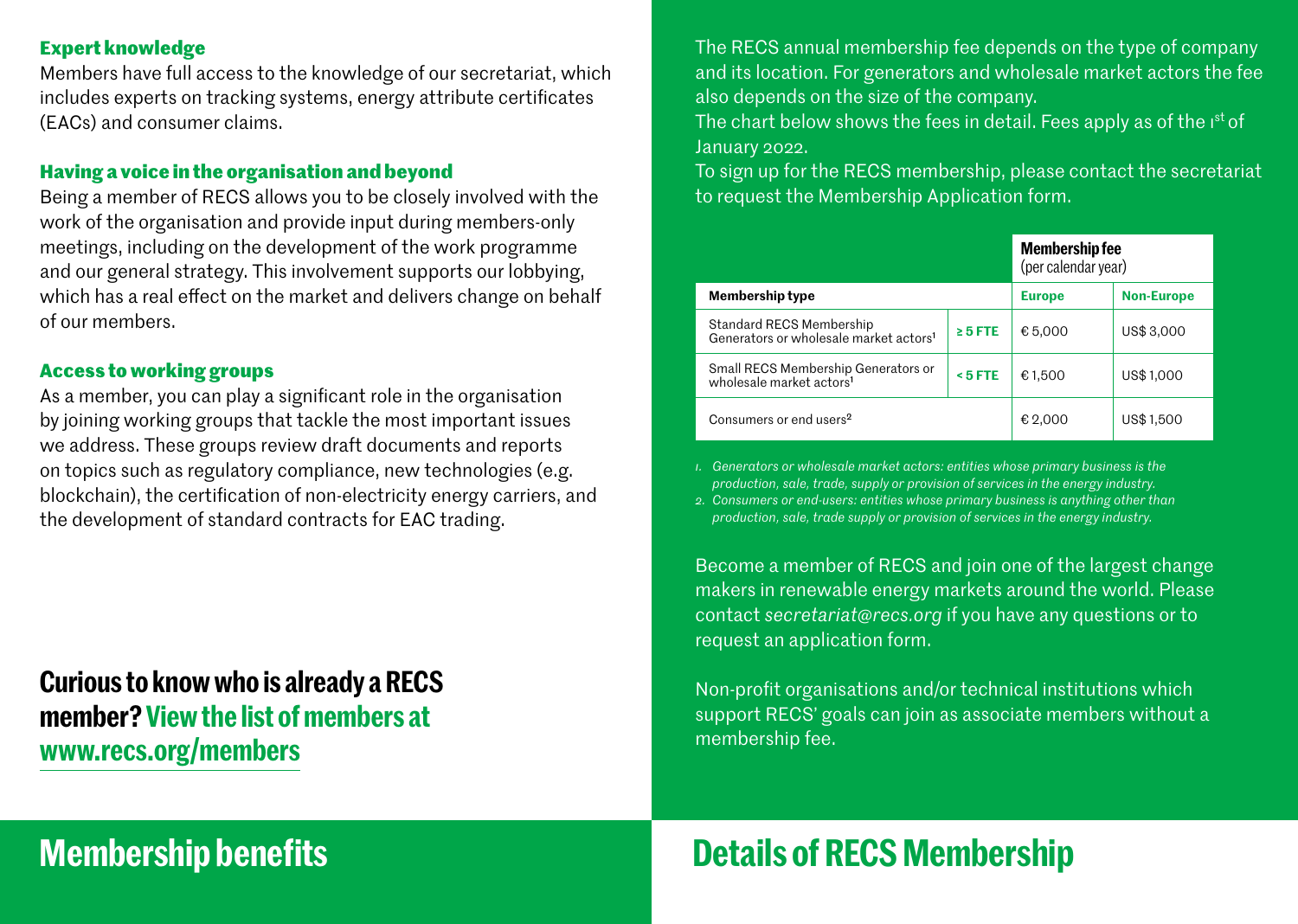#### **Expert knowledge**

Members have full access to the knowledge of our secretariat, which includes experts on tracking systems, energy attribute certificates (EACs) and consumer claims.

### **Having a voice in the organisation and beyond**

Being a member of RECS allows you to be closely involved with the work of the organisation and provide input during members-only meetings, including on the development of the work programme and our general strategy. This involvement supports our lobbying, which has a real effect on the market and delivers change on behalf of our members.

### **Access to working groups**

As a member, you can play a significant role in the organisation by joining working groups that tackle the most important issues we address. These groups review draft documents and reports on topics such as regulatory compliance, new technologies (e.g. blockchain), the certification of non-electricity energy carriers, and the development of standard contracts for EAC trading.

### **Curious to know who is already a RECS member? View the list of members at www.recs.org/members**

# **Membership benefits**

The RECS annual membership fee depends on the type of company and its location. For generators and wholesale market actors the fee also depends on the size of the company.

The chart below shows the fees in detail. Fees apply as of the 1st of January 2022.

To sign up for the RECS membership, please contact the secretariat to request the Membership Application form.

|                                                                                |              | <b>Membership fee</b><br>(per calendar year) |                   |
|--------------------------------------------------------------------------------|--------------|----------------------------------------------|-------------------|
| Membership type                                                                |              | <b>Europe</b>                                | <b>Non-Europe</b> |
| Standard RECS Membership<br>Generators or wholesale market actors <sup>1</sup> | $\geq 5$ FTE | € 5,000                                      | US\$ 3,000        |
| Small RECS Membership Generators or<br>wholesale market actors <sup>1</sup>    | $5$ FTE      | €1,500                                       | US\$1,000         |
| Consumers or end users <sup>2</sup>                                            |              | € 2,000                                      | US\$1,500         |

*1. Generators or wholesale market actors: entities whose primary business is the production, sale, trade, supply or provision of services in the energy industry.* 

*2. Consumers or end-users: entities whose primary business is anything other than production, sale, trade supply or provision of services in the energy industry.*

Become a member of RECS and join one of the largest change makers in renewable energy markets around the world. Please contact *secretariat@recs.org* if you have any questions or to request an application form.

Non-profit organisations and/or technical institutions which support RECS' goals can join as associate members without a membership fee.

# **Details of RECS Membership**